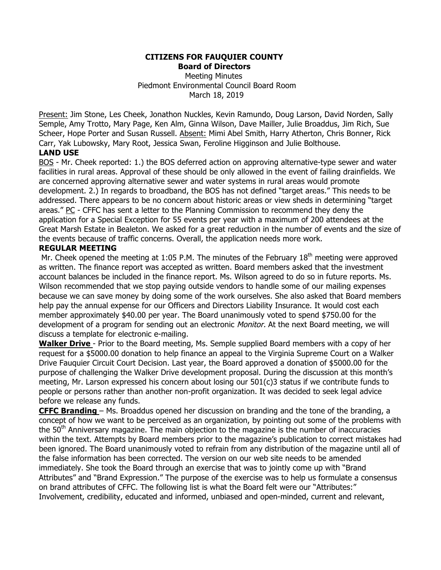#### **CITIZENS FOR FAUQUIER COUNTY Board of Directors**

Meeting Minutes Piedmont Environmental Council Board Room March 18, 2019

Present: Jim Stone, Les Cheek, Jonathon Nuckles, Kevin Ramundo, Doug Larson, David Norden, Sally Semple, Amy Trotto, Mary Page, Ken Alm, Ginna Wilson, Dave Mailler, Julie Broaddus, Jim Rich, Sue Scheer, Hope Porter and Susan Russell. Absent: Mimi Abel Smith, Harry Atherton, Chris Bonner, Rick Carr, Yak Lubowsky, Mary Root, Jessica Swan, Feroline Higginson and Julie Bolthouse.

## **LAND USE**

BOS - Mr. Cheek reported: 1.) the BOS deferred action on approving alternative-type sewer and water facilities in rural areas. Approval of these should be only allowed in the event of failing drainfields. We are concerned approving alternative sewer and water systems in rural areas would promote development. 2.) In regards to broadband, the BOS has not defined "target areas." This needs to be addressed. There appears to be no concern about historic areas or view sheds in determining "target areas." PC - CFFC has sent a letter to the Planning Commission to recommend they deny the application for a Special Exception for 55 events per year with a maximum of 200 attendees at the Great Marsh Estate in Bealeton. We asked for a great reduction in the number of events and the size of the events because of traffic concerns. Overall, the application needs more work.

### **REGULAR MEETING**

Mr. Cheek opened the meeting at 1:05 P.M. The minutes of the February  $18<sup>th</sup>$  meeting were approved as written. The finance report was accepted as written. Board members asked that the investment account balances be included in the finance report. Ms. Wilson agreed to do so in future reports. Ms. Wilson recommended that we stop paying outside vendors to handle some of our mailing expenses because we can save money by doing some of the work ourselves. She also asked that Board members help pay the annual expense for our Officers and Directors Liability Insurance. It would cost each member approximately \$40.00 per year. The Board unanimously voted to spend \$750.00 for the development of a program for sending out an electronic Monitor. At the next Board meeting, we will discuss a template for electronic e-mailing.

**Walker Drive** - Prior to the Board meeting, Ms. Semple supplied Board members with a copy of her request for a \$5000.00 donation to help finance an appeal to the Virginia Supreme Court on a Walker Drive Fauquier Circuit Court Decision. Last year, the Board approved a donation of \$5000.00 for the purpose of challenging the Walker Drive development proposal. During the discussion at this month's meeting, Mr. Larson expressed his concern about losing our 501(c)3 status if we contribute funds to people or persons rather than another non-profit organization. It was decided to seek legal advice before we release any funds.

**CFFC Branding** – Ms. Broaddus opened her discussion on branding and the tone of the branding, a concept of how we want to be perceived as an organization, by pointing out some of the problems with the 50<sup>th</sup> Anniversary magazine. The main objection to the magazine is the number of inaccuracies within the text. Attempts by Board members prior to the magazine's publication to correct mistakes had been ignored. The Board unanimously voted to refrain from any distribution of the magazine until all of the false information has been corrected. The version on our web site needs to be amended immediately. She took the Board through an exercise that was to jointly come up with "Brand Attributes" and "Brand Expression." The purpose of the exercise was to help us formulate a consensus on brand attributes of CFFC. The following list is what the Board felt were our "Attributes:" Involvement, credibility, educated and informed, unbiased and open-minded, current and relevant,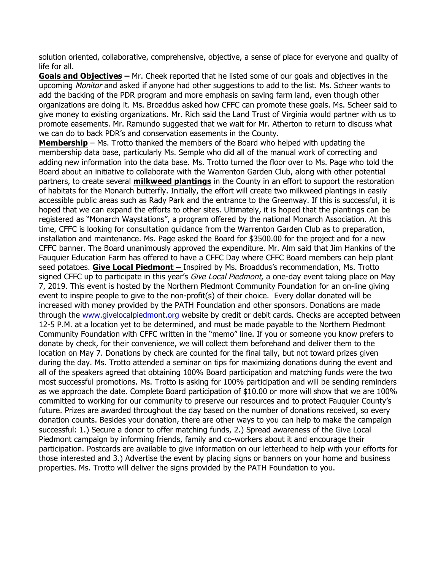solution oriented, collaborative, comprehensive, objective, a sense of place for everyone and quality of life for all.

**Goals and Objectives –** Mr. Cheek reported that he listed some of our goals and objectives in the upcoming Monitor and asked if anyone had other suggestions to add to the list. Ms. Scheer wants to add the backing of the PDR program and more emphasis on saving farm land, even though other organizations are doing it. Ms. Broaddus asked how CFFC can promote these goals. Ms. Scheer said to give money to existing organizations. Mr. Rich said the Land Trust of Virginia would partner with us to promote easements. Mr. Ramundo suggested that we wait for Mr. Atherton to return to discuss what we can do to back PDR's and conservation easements in the County.

**Membership** – Ms. Trotto thanked the members of the Board who helped with updating the membership data base, particularly Ms. Semple who did all of the manual work of correcting and adding new information into the data base. Ms. Trotto turned the floor over to Ms. Page who told the Board about an initiative to collaborate with the Warrenton Garden Club, along with other potential partners, to create several **milkweed plantings** in the County in an effort to support the restoration of habitats for the Monarch butterfly. Initially, the effort will create two milkweed plantings in easily accessible public areas such as Rady Park and the entrance to the Greenway. If this is successful, it is hoped that we can expand the efforts to other sites. Ultimately, it is hoped that the plantings can be registered as "Monarch Waystations", a program offered by the national Monarch Association. At this time, CFFC is looking for consultation guidance from the Warrenton Garden Club as to preparation, installation and maintenance. Ms. Page asked the Board for \$3500.00 for the project and for a new CFFC banner. The Board unanimously approved the expenditure. Mr. Alm said that Jim Hankins of the Fauquier Education Farm has offered to have a CFFC Day where CFFC Board members can help plant seed potatoes. **Give Local Piedmont –** Inspired by Ms. Broaddus's recommendation, Ms. Trotto signed CFFC up to participate in this year's *Give Local Piedmont*, a one-day event taking place on May 7, 2019. This event is hosted by the Northern Piedmont Community Foundation for an on-line giving event to inspire people to give to the non-profit(s) of their choice. Every dollar donated will be increased with money provided by the PATH Foundation and other sponsors. Donations are made through the www.givelocalpiedmont.org website by credit or debit cards. Checks are accepted between 12-5 P.M. at a location yet to be determined, and must be made payable to the Northern Piedmont Community Foundation with CFFC written in the "memo" line. If you or someone you know prefers to donate by check, for their convenience, we will collect them beforehand and deliver them to the location on May 7. Donations by check are counted for the final tally, but not toward prizes given during the day. Ms. Trotto attended a seminar on tips for maximizing donations during the event and all of the speakers agreed that obtaining 100% Board participation and matching funds were the two most successful promotions. Ms. Trotto is asking for 100% participation and will be sending reminders as we approach the date. Complete Board participation of \$10.00 or more will show that we are 100% committed to working for our community to preserve our resources and to protect Fauquier County's future. Prizes are awarded throughout the day based on the number of donations received, so every donation counts. Besides your donation, there are other ways to you can help to make the campaign successful: 1.) Secure a donor to offer matching funds, 2.) Spread awareness of the Give Local Piedmont campaign by informing friends, family and co-workers about it and encourage their participation. Postcards are available to give information on our letterhead to help with your efforts for those interested and 3.) Advertise the event by placing signs or banners on your home and business properties. Ms. Trotto will deliver the signs provided by the PATH Foundation to you.